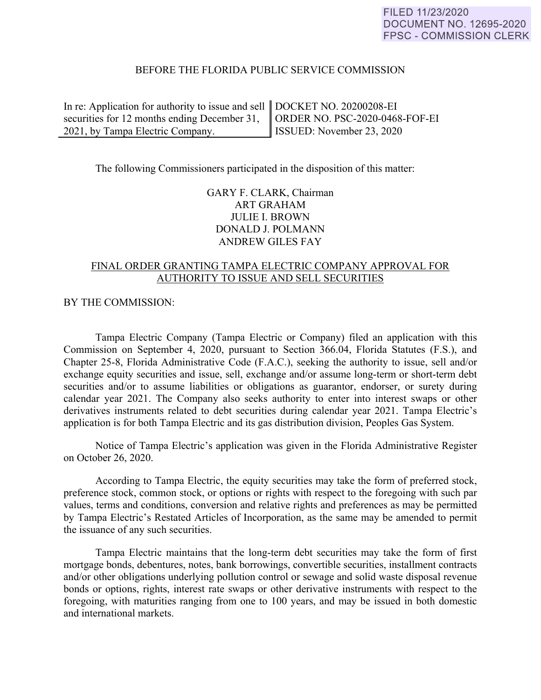## BEFORE THE FLORIDA PUBLIC SERVICE COMMISSION

| In re: Application for authority to issue and sell $\parallel$ DOCKET NO. 20200208-EI |                          |
|---------------------------------------------------------------------------------------|--------------------------|
| securities for 12 months ending December 31,    ORDER NO. PSC-2020-0468-FOF-EI        |                          |
| 2021, by Tampa Electric Company.                                                      | SSUED: November 23, 2020 |

The following Commissioners participated in the disposition of this matter:

GARY F. CLARK, Chairman ART GRAHAM JULIE I. BROWN DONALD J. POLMANN ANDREW GILES FAY

# FINAL ORDER GRANTING TAMPA ELECTRIC COMPANY APPROVAL FOR AUTHORITY TO ISSUE AND SELL SECURITIES

#### BY THE COMMISSION:

 Tampa Electric Company (Tampa Electric or Company) filed an application with this Commission on September 4, 2020, pursuant to Section 366.04, Florida Statutes (F.S.), and Chapter 25-8, Florida Administrative Code (F.A.C.), seeking the authority to issue, sell and/or exchange equity securities and issue, sell, exchange and/or assume long-term or short-term debt securities and/or to assume liabilities or obligations as guarantor, endorser, or surety during calendar year 2021. The Company also seeks authority to enter into interest swaps or other derivatives instruments related to debt securities during calendar year 2021. Tampa Electric's application is for both Tampa Electric and its gas distribution division, Peoples Gas System.

 Notice of Tampa Electric's application was given in the Florida Administrative Register on October 26, 2020.

According to Tampa Electric, the equity securities may take the form of preferred stock, preference stock, common stock, or options or rights with respect to the foregoing with such par values, terms and conditions, conversion and relative rights and preferences as may be permitted by Tampa Electric's Restated Articles of Incorporation, as the same may be amended to permit the issuance of any such securities.

Tampa Electric maintains that the long-term debt securities may take the form of first mortgage bonds, debentures, notes, bank borrowings, convertible securities, installment contracts and/or other obligations underlying pollution control or sewage and solid waste disposal revenue bonds or options, rights, interest rate swaps or other derivative instruments with respect to the foregoing, with maturities ranging from one to 100 years, and may be issued in both domestic and international markets.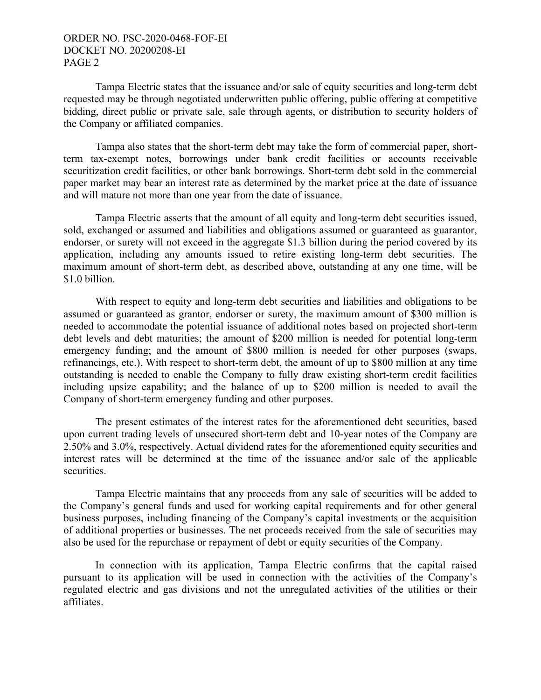## ORDER NO. PSC-2020-0468-FOF-EI DOCKET NO. 20200208-EI PAGE 2

Tampa Electric states that the issuance and/or sale of equity securities and long-term debt requested may be through negotiated underwritten public offering, public offering at competitive bidding, direct public or private sale, sale through agents, or distribution to security holders of the Company or affiliated companies.

Tampa also states that the short-term debt may take the form of commercial paper, shortterm tax-exempt notes, borrowings under bank credit facilities or accounts receivable securitization credit facilities, or other bank borrowings. Short-term debt sold in the commercial paper market may bear an interest rate as determined by the market price at the date of issuance and will mature not more than one year from the date of issuance.

Tampa Electric asserts that the amount of all equity and long-term debt securities issued, sold, exchanged or assumed and liabilities and obligations assumed or guaranteed as guarantor, endorser, or surety will not exceed in the aggregate \$1.3 billion during the period covered by its application, including any amounts issued to retire existing long-term debt securities. The maximum amount of short-term debt, as described above, outstanding at any one time, will be \$1.0 billion.

 With respect to equity and long-term debt securities and liabilities and obligations to be assumed or guaranteed as grantor, endorser or surety, the maximum amount of \$300 million is needed to accommodate the potential issuance of additional notes based on projected short-term debt levels and debt maturities; the amount of \$200 million is needed for potential long-term emergency funding; and the amount of \$800 million is needed for other purposes (swaps, refinancings, etc.). With respect to short-term debt, the amount of up to \$800 million at any time outstanding is needed to enable the Company to fully draw existing short-term credit facilities including upsize capability; and the balance of up to \$200 million is needed to avail the Company of short-term emergency funding and other purposes.

 The present estimates of the interest rates for the aforementioned debt securities, based upon current trading levels of unsecured short-term debt and 10-year notes of the Company are 2.50% and 3.0%, respectively. Actual dividend rates for the aforementioned equity securities and interest rates will be determined at the time of the issuance and/or sale of the applicable securities.

 Tampa Electric maintains that any proceeds from any sale of securities will be added to the Company's general funds and used for working capital requirements and for other general business purposes, including financing of the Company's capital investments or the acquisition of additional properties or businesses. The net proceeds received from the sale of securities may also be used for the repurchase or repayment of debt or equity securities of the Company.

 In connection with its application, Tampa Electric confirms that the capital raised pursuant to its application will be used in connection with the activities of the Company's regulated electric and gas divisions and not the unregulated activities of the utilities or their affiliates.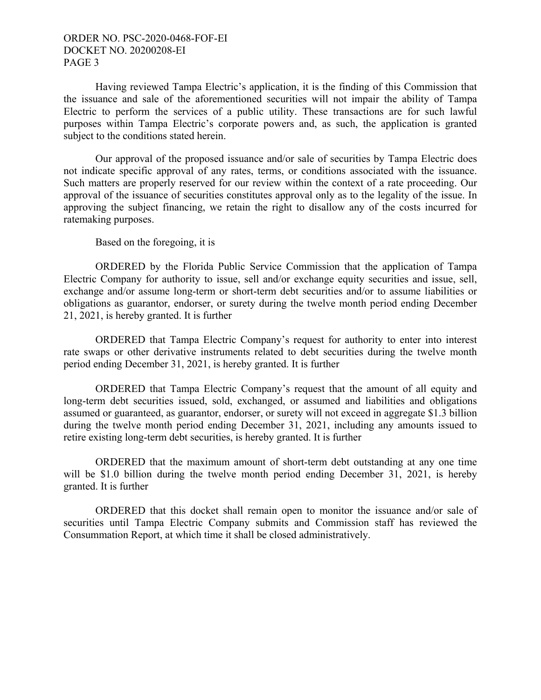# ORDER NO. PSC-2020-0468-FOF-EI DOCKET NO. 20200208-EI PAGE 3

Having reviewed Tampa Electric's application, it is the finding of this Commission that the issuance and sale of the aforementioned securities will not impair the ability of Tampa Electric to perform the services of a public utility. These transactions are for such lawful purposes within Tampa Electric's corporate powers and, as such, the application is granted subject to the conditions stated herein.

Our approval of the proposed issuance and/or sale of securities by Tampa Electric does not indicate specific approval of any rates, terms, or conditions associated with the issuance. Such matters are properly reserved for our review within the context of a rate proceeding. Our approval of the issuance of securities constitutes approval only as to the legality of the issue. In approving the subject financing, we retain the right to disallow any of the costs incurred for ratemaking purposes.

Based on the foregoing, it is

 ORDERED by the Florida Public Service Commission that the application of Tampa Electric Company for authority to issue, sell and/or exchange equity securities and issue, sell, exchange and/or assume long-term or short-term debt securities and/or to assume liabilities or obligations as guarantor, endorser, or surety during the twelve month period ending December 21, 2021, is hereby granted. It is further

 ORDERED that Tampa Electric Company's request for authority to enter into interest rate swaps or other derivative instruments related to debt securities during the twelve month period ending December 31, 2021, is hereby granted. It is further

 ORDERED that Tampa Electric Company's request that the amount of all equity and long-term debt securities issued, sold, exchanged, or assumed and liabilities and obligations assumed or guaranteed, as guarantor, endorser, or surety will not exceed in aggregate \$1.3 billion during the twelve month period ending December 31, 2021, including any amounts issued to retire existing long-term debt securities, is hereby granted. It is further

 ORDERED that the maximum amount of short-term debt outstanding at any one time will be \$1.0 billion during the twelve month period ending December 31, 2021, is hereby granted. It is further

 ORDERED that this docket shall remain open to monitor the issuance and/or sale of securities until Tampa Electric Company submits and Commission staff has reviewed the Consummation Report, at which time it shall be closed administratively.